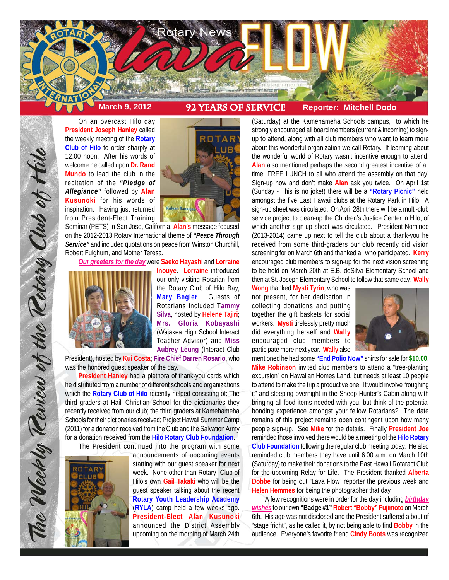

On an overcast Hilo day **President Joseph Hanley** called the weekly meeting of the **Rotary Club of Hilo** to order sharply at 12:00 noon. After his words of welcome he called upon **Dr. Rand Mundo** to lead the club in the recitation of the *"Pledge of Allegiance"* followed by **Alan Kusunoki** for his words of inspiration. Having just returned from President-Elect Training



Seminar (PETS) in San Jose, California, **Alan's** message focused on the 2012-2013 Rotary International theme of *"Peace Through Service"* and included quotations on peace from Winston Churchill, Robert Fulghum, and Mother Teresa.

*Our greeters for the day* were **Saeko Hayashi** and **Lorraine**



The Weekly Teview of the Tetary Club of Hilo

**Inouye**. **Lorraine** introduced our only visiting Rotarian from the Rotary Club of Hilo Bay, **Mary Begier**. Guests of Rotarians included T**ammy Silva**, hosted by **Helene Tajiri**; **Mrs. Gloria Kobayashi** (Waiakea High School Interact Teacher Advisor) and **Miss Aubrey Leung** (Interact Club

President), hosted by **Kui Costa**; **Fire Chief Darren Rosario**, who was the honored guest speaker of the day.

**President Hanley** had a plethora of thank-you cards which he distributed from a number of different schools and organizations which the **Rotary Club of Hilo** recently helped consisting of: The third graders at Haili Christian School for the dictionaries they recently received from our club; the third graders at Kamehameha Schools for their dictionaries received; Project Hawaii Summer Camp (2011) for a donation received from the Club and the Salvation Army for a donation received from the **Hilo Rotary Club Foundation**.

The President continued into the program with some



announcements of upcoming events starting with our guest speaker for next week. None other than Rotary Club of Hilo's own **Gail Takaki** who will be the guest speaker talking about the recent **Rotary Youth Leadership Academy** (**RYLA**) camp held a few weeks ago. **President-Elect Alan Kusunoki** announced the District Assembly upcoming on the morning of March 24th

(Saturday) at the Kamehameha Schools campus, to which he strongly encouraged all board members (current & incoming) to signup to attend, along with all club members who want to learn more about this wonderful organization we call Rotary. If learning about the wonderful world of Rotary wasn't incentive enough to attend, **Alan** also mentioned perhaps the second greatest incentive of all time, FREE LUNCH to all who attend the assembly on that day! Sign-up now and don't make **Alan** ask you twice. On April 1st (Sunday - This is no joke!) there will be a **"Rotary Picnic"** held amongst the five East Hawaii clubs at the Rotary Park in Hilo. A sign-up sheet was circulated. On April 28th there will be a multi-club service project to clean-up the Children's Justice Center in Hilo, of which another sign-up sheet was circulated. President-Nominee (2013-2014) came up next to tell the club about a thank-you he received from some third-graders our club recently did vision screening for on March 6th and thanked all who participated. **Kerry** encouraged club members to sign-up for the next vision screening to be held on March 20th at E.B. deSilva Elementary School and then at St. Joseph Elementary School to follow that same day. **Wally**

**Wong** thanked **Mysti Tyrin**, who was not present, for her dedication in collecting donations and putting together the gift baskets for social workers. **Mysti** tirelessly pretty much did everything herself and **Wally** encouraged club members to participate more next year. **Wally** also



mentioned he had some **"End Polio Now"** shirts for sale for **\$10.00**. **Mike Robinson** invited club members to attend a "tree-planting excursion" on Hawaiian Homes Land, but needs at least 10 people to attend to make the trip a productive one. It would involve "roughing it" and sleeping overnight in the Sheep Hunter's Cabin along with bringing all food items needed with you, but think of the potential bonding experience amongst your fellow Rotarians? The date remains of this project remains open contingent upon how many people sign-up. See **Mike** for the details. Finally **President Joe** reminded those involved there would be a meeting of the **Hilo Rotary Club Foundation** following the regular club meeting today. He also reminded club members they have until 6:00 a.m. on March 10th (Saturday) to make their donations to the East Hawaii Rotaract Club for the upcoming Relay for Life. The President thanked **Alberta Dobbe** for being out "Lava Flow" reporter the previous week and **Helen Hemmes** for being the photographer that day.

A few recognitions were in order for the day including *birthday wishes* to our own **"Badge #1" Robert "Bobby" Fujimoto** on March 6th. His age was not disclosed and the President suffered a bout of "stage fright", as he called it, by not being able to find **Bobby** in the audience. Everyone's favorite friend **Cindy Boots** was recognized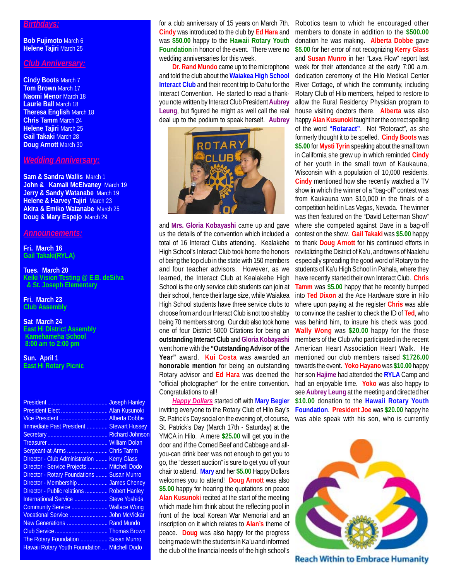### *Birthdays:*

**Bob Fujimoto** March 6 **Helene Tajiri** March 25

## *Club Anniversary:*

**Cindy Boots** March 7 **Tom Brown** March 17 **Naomi Menor** March 18 **Laurie Ball** March 18 **Theresa English** March 18 **Chris Tamm** March 24 **Helene Tajiri** March 25 **Gail Takaki** March 28 **Doug Arnott** March 30

### *Wedding Anniversary:*

**Sam & Sandra Wallis** March 1 **John & Kamali McElvaney** March 19 **Jerry & Sandy Watanabe March 19 Helene & Harvey Tajiri** March 23 **Akira & Emiko Watanabe** March 25 **Doug & Mary Espejo** March 29

### *Announcements:*

**Fri. March 16 Gail Takaki(RYLA)**

**Tues. March 20 Keiki Vision Testing @ E.B. deSilva & St. Joseph Elementary**

**Fri. March 23 Club Assembly**

**Sat March 24 East Hi District Assembly Kamehameha School 8:00 am to 2:00 pm**

**Sun. April 1 East Hi Rotary Picnic**

| <b>Joseph Hanley</b>                                 |
|------------------------------------------------------|
| Alan Kusunoki                                        |
| Vice President<br><b>Alberta Dobbe</b>               |
| <b>Immediate Past President  Stewart Hussey</b>      |
| <b>Richard Johnson</b>                               |
| <b>William Dolan</b>                                 |
| <b>Chris Tamm</b>                                    |
| <b>Kerry Glass</b>                                   |
| <b>Mitchell Dodo</b>                                 |
| <b>Director - Rotary Foundations  Susan Munro</b>    |
| Director - Membership  James Cheney                  |
| Director - Public relations  Robert Hanley           |
| <b>Steve Yoshida</b>                                 |
| <b>Wallace Wong</b>                                  |
| <b>John McVickar</b>                                 |
| New Generations  Rand Mundo                          |
|                                                      |
| The Rotary Foundation  Susan Munro                   |
| <b>Hawaii Rotary Youth Foundation  Mitchell Dodo</b> |
|                                                      |

for a club anniversary of 15 years on March 7th. **Cindy** was introduced to the club by **Ed Hara** and was **\$50.00** happy to the **Hawaii Rotary Youth Foundation** in honor of the event. There were no wedding anniversaries for this week.

**Dr. Rand Mundo** came up to the microphone and told the club about the **Waiakea High School Interact Club** and their recent trip to Oahu for the Interact Convention. He started to read a thankyou note written by Interact Club President **Aubrey Leung**, but figured he might as well call the real deal up to the podium to speak herself. **Aubrey**



and **Mrs. Gloria Kobayashi** came up and gave us the details of the convention which included a total of 16 Interact Clubs attending. Kealakehe High School's Interact Club took home the honors of being the top club in the state with 150 members and four teacher advisors. However, as we learned, the Interact Club at Kealakehe High School is the only service club students can join at their school, hence their large size, while Waiakea High School students have three service clubs to choose from and our Interact Club is not too shabby being 70 members strong. Our club also took home one of four District 5000 Citations for being an **outstanding Interact Club** and **Gloria Kobayashi** went home with the **"Outstanding Advisor of the Year"** award. **Kui Costa** was awarded an **honorable mention** for being an outstanding Rotary advisor and **Ed Hara** was deemed the "official photographer" for the entire convention. Congratulations to all!

*Happy Dollars* started off with **Mary Begier** inviting everyone to the Rotary Club of Hilo Bay's St. Patrick's Day social on the evening of, of course, St. Patrick's Day (March 17th - Saturday) at the YMCA in Hilo. A mere **\$25.00** will get you in the door and if the Corned Beef and Cabbage and allyou-can drink beer was not enough to get you to go, the "dessert auction" is sure to get you off your chair to attend. **Mary** and her **\$5.00** Happy Dollars welcomes you to attend! **Doug Arnott** was also **\$5.00** happy for hearing the quotations on peace **Alan Kusunoki** recited at the start of the meeting which made him think about the reflecting pool in front of the local Korean War Memorial and an inscription on it which relates to **Alan's** theme of peace. **Doug** was also happy for the progress being made with the students in Ka'u and informed the club of the financial needs of the high school's

Robotics team to which he encouraged other members to donate in addition to the **\$500.00** donation he was making. **Alberta Dobbe** gave **\$5.00** for her error of not recognizing **Kerry Glass** and **Susan Munro** in her "Lava Flow" report last week for their attendance at the early 7:00 a.m. dedication ceremony of the Hilo Medical Center River Cottage, of which the community, including Rotary Club of Hilo members, helped to restore to allow the Rural Residency Physician program to house visiting doctors there. **Alberta** was also happy **Alan Kusunoki** taught her the correct spelling of the word **"Rotaract"**. Not "Rotoract", as she formerly thought it to be spelled. **Cindy Boots** was **\$5.00** for **Mysti Tyrin** speaking about the small town in California she grew up in which reminded **Cindy** of her youth in the small town of Kaukauna, Wisconsin with a population of 10,000 residents. **Cindy** mentioned how she recently watched a TV show in which the winner of a "bag-off" contest was from Kaukauna won \$10,000 in the finals of a competition held in Las Vegas, Nevada. The winner was then featured on the "David Letterman Show" where she competed against Dave in a bag-off contest on the show. **Gail Takaki** was **\$5.00** happy to thank **Doug Arnott** for his continued efforts in revitalizing the District of Ka'u, and towns of Naalehu especially spreading the good word of Rotary to the students of Ka'u High School in Pahala, where they have recently started their own Interact Club. **Chris Tamm** was **\$5.00** happy that he recently bumped into **Ted Dixon** at the Ace Hardware store in Hilo where upon paying at the register **Chris** was able to convince the cashier to check the ID of **Ted**, who was behind him, to insure his check was good. **Wally Wong** was **\$20.00** happy for the those members of the Club who participated in the recent American Heart Association Heart Walk. He mentioned our club members raised **\$1726.00** towards the event. **Yoko Hayano** was **\$10.00** happy her son **Hajime** had attended the **RYLA** Camp and had an enjoyable time. **Yoko** was also happy to see **Aubrey Leung** at the meeting and directed her **\$10.00** donation to the **Hawaii Rotary Youth Foundation**. **President Joe** was **\$20.00** happy he was able speak with his son, who is currently



**Reach Within to Embrace Humanity**